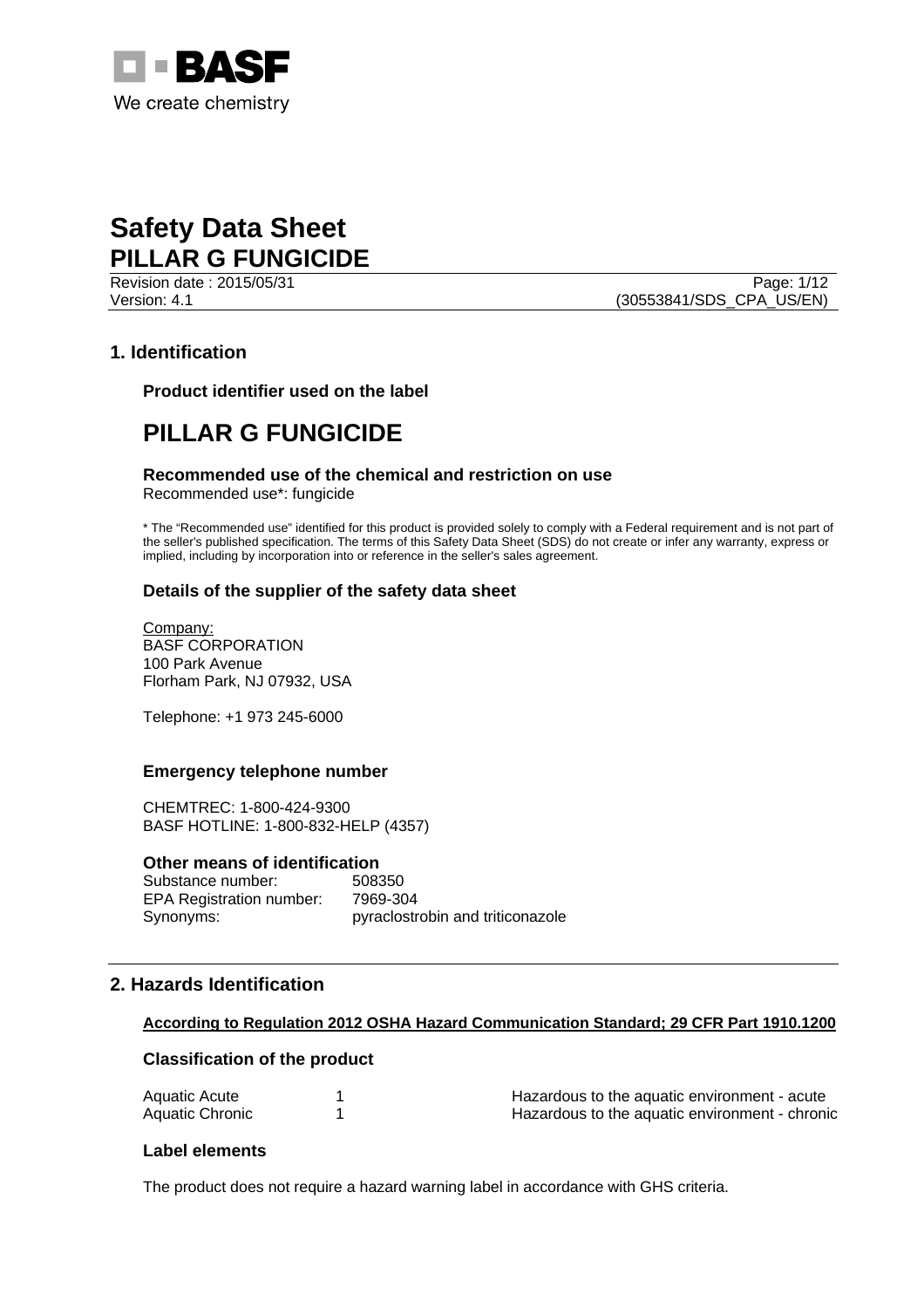

Page: 1/12 Version: 4.1 (30553841/SDS\_CPA\_US/EN)

## **1. Identification**

**Product identifier used on the label** 

# **PILLAR G FUNGICIDE**

## **Recommended use of the chemical and restriction on use**

Recommended use\*: fungicide

\* The "Recommended use" identified for this product is provided solely to comply with a Federal requirement and is not part of the seller's published specification. The terms of this Safety Data Sheet (SDS) do not create or infer any warranty, express or implied, including by incorporation into or reference in the seller's sales agreement.

## **Details of the supplier of the safety data sheet**

Company: BASF CORPORATION 100 Park Avenue Florham Park, NJ 07932, USA

Telephone: +1 973 245-6000

## **Emergency telephone number**

CHEMTREC: 1-800-424-9300 BASF HOTLINE: 1-800-832-HELP (4357)

## **Other means of identification**

Substance number: 508350 EPA Registration number: 7969-304 Synonyms: pyraclostrobin and triticonazole

# **2. Hazards Identification**

## **According to Regulation 2012 OSHA Hazard Communication Standard; 29 CFR Part 1910.1200**

## **Classification of the product**

| Aquatic Acute   | Hazardous to the aquatic environment - acute   |  |
|-----------------|------------------------------------------------|--|
| Aquatic Chronic | Hazardous to the aquatic environment - chronic |  |

## **Label elements**

The product does not require a hazard warning label in accordance with GHS criteria.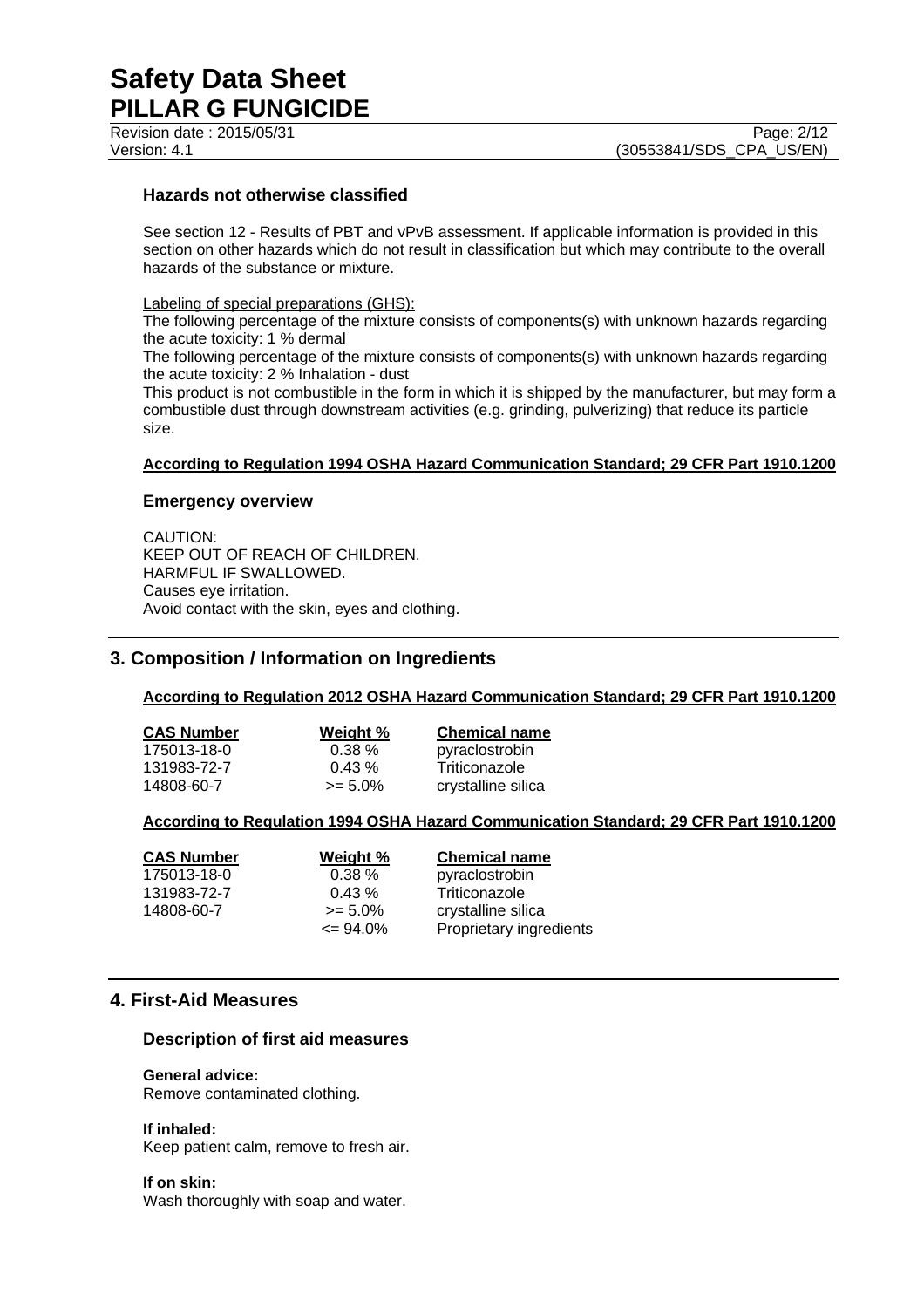# **Hazards not otherwise classified**

See section 12 - Results of PBT and vPvB assessment. If applicable information is provided in this section on other hazards which do not result in classification but which may contribute to the overall hazards of the substance or mixture.

## Labeling of special preparations (GHS):

The following percentage of the mixture consists of components(s) with unknown hazards regarding the acute toxicity: 1 % dermal

The following percentage of the mixture consists of components(s) with unknown hazards regarding the acute toxicity: 2 % Inhalation - dust

This product is not combustible in the form in which it is shipped by the manufacturer, but may form a combustible dust through downstream activities (e.g. grinding, pulverizing) that reduce its particle size.

## **According to Regulation 1994 OSHA Hazard Communication Standard; 29 CFR Part 1910.1200**

#### **Emergency overview**

CAUTION: KEEP OUT OF REACH OF CHILDREN. HARMFUL IF SWALLOWED. Causes eye irritation. Avoid contact with the skin, eyes and clothing.

## **3. Composition / Information on Ingredients**

## **According to Regulation 2012 OSHA Hazard Communication Standard; 29 CFR Part 1910.1200**

| <b>CAS Number</b> | Weight %   | <b>Chemical name</b> |
|-------------------|------------|----------------------|
| 175013-18-0       | $0.38 \%$  | pyraclostrobin       |
| 131983-72-7       | $0.43\%$   | Triticonazole        |
| 14808-60-7        | $>= 5.0\%$ | crystalline silica   |

#### **According to Regulation 1994 OSHA Hazard Communication Standard; 29 CFR Part 1910.1200**

| <b>CAS Number</b> | Weight %     | <b>Chemical name</b>    |
|-------------------|--------------|-------------------------|
| 175013-18-0       | 0.38%        | pyraclostrobin          |
| 131983-72-7       | 0.43%        | Triticonazole           |
| 14808-60-7        | $>= 5.0\%$   | crystalline silica      |
|                   | $\leq$ 94.0% | Proprietary ingredients |

## **4. First-Aid Measures**

#### **Description of first aid measures**

## **General advice:**

Remove contaminated clothing.

**If inhaled:** 

Keep patient calm, remove to fresh air.

**If on skin:**  Wash thoroughly with soap and water.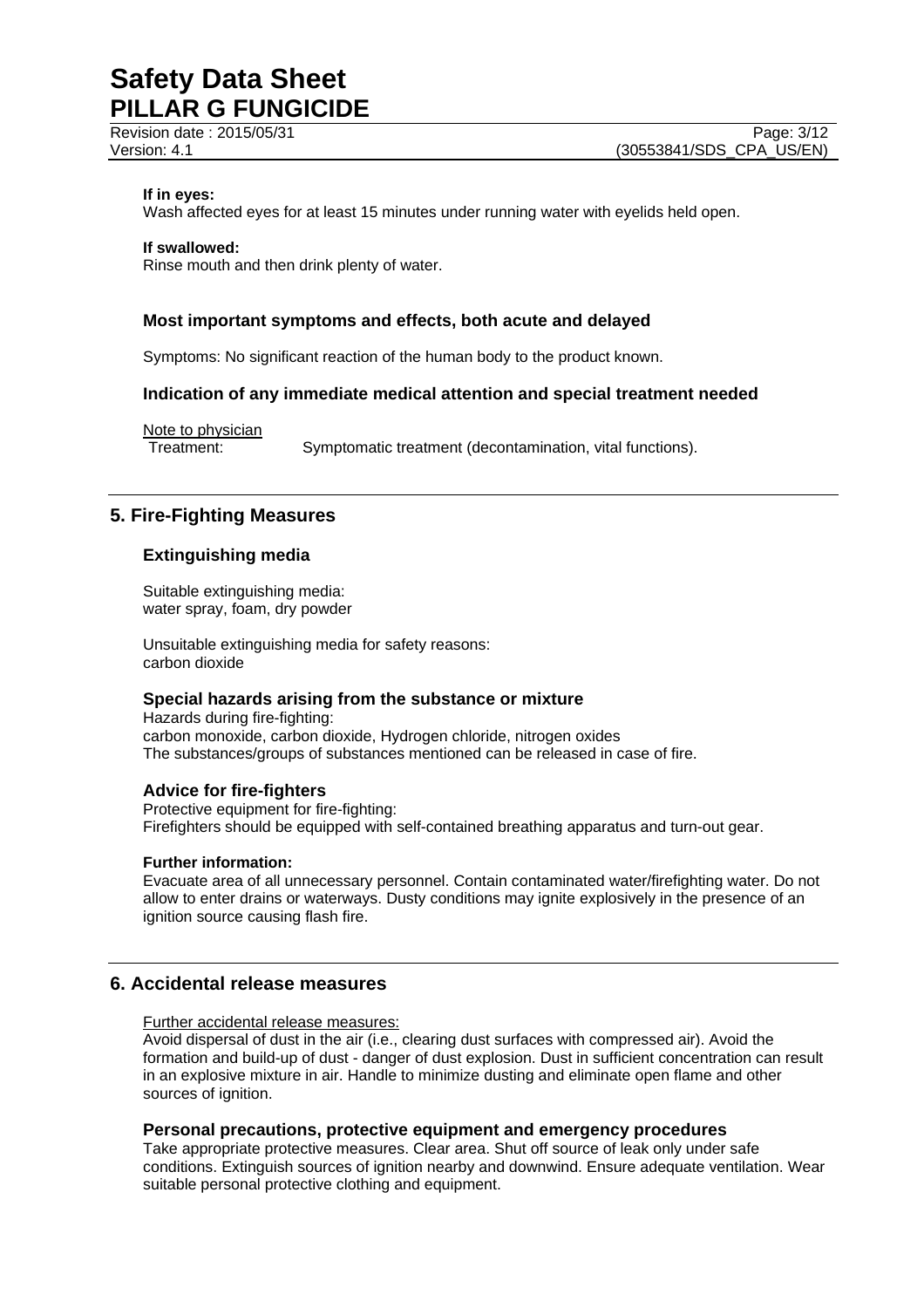Revision date : 2015/05/31 Page: 3/12

#### **If in eyes:**

Wash affected eyes for at least 15 minutes under running water with eyelids held open.

**If swallowed:** 

Rinse mouth and then drink plenty of water.

## **Most important symptoms and effects, both acute and delayed**

Symptoms: No significant reaction of the human body to the product known.

## **Indication of any immediate medical attention and special treatment needed**

Note to physician Treatment: Symptomatic treatment (decontamination, vital functions).

## **5. Fire-Fighting Measures**

## **Extinguishing media**

Suitable extinguishing media: water spray, foam, dry powder

Unsuitable extinguishing media for safety reasons: carbon dioxide

# **Special hazards arising from the substance or mixture**

Hazards during fire-fighting: carbon monoxide, carbon dioxide, Hydrogen chloride, nitrogen oxides The substances/groups of substances mentioned can be released in case of fire.

## **Advice for fire-fighters**

Protective equipment for fire-fighting: Firefighters should be equipped with self-contained breathing apparatus and turn-out gear.

## **Further information:**

Evacuate area of all unnecessary personnel. Contain contaminated water/firefighting water. Do not allow to enter drains or waterways. Dusty conditions may ignite explosively in the presence of an ignition source causing flash fire.

## **6. Accidental release measures**

#### Further accidental release measures:

Avoid dispersal of dust in the air (i.e., clearing dust surfaces with compressed air). Avoid the formation and build-up of dust - danger of dust explosion. Dust in sufficient concentration can result in an explosive mixture in air. Handle to minimize dusting and eliminate open flame and other sources of ignition.

## **Personal precautions, protective equipment and emergency procedures**

Take appropriate protective measures. Clear area. Shut off source of leak only under safe conditions. Extinguish sources of ignition nearby and downwind. Ensure adequate ventilation. Wear suitable personal protective clothing and equipment.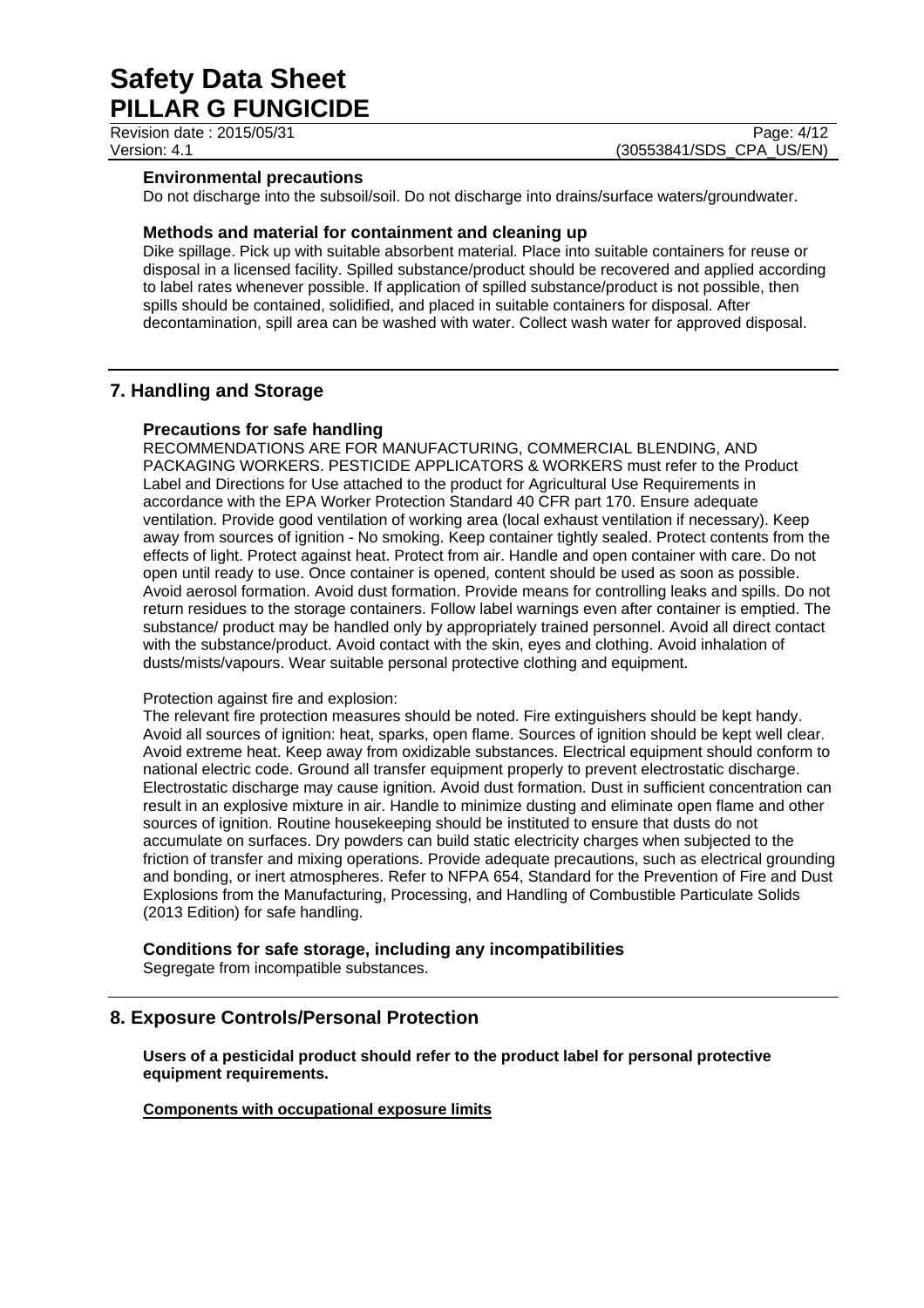Revision date : 2015/05/31 Page: 4/12

Version: 4.1 **(30553841/SDS\_CPA\_US/EN)** 

## **Environmental precautions**

Do not discharge into the subsoil/soil. Do not discharge into drains/surface waters/groundwater.

## **Methods and material for containment and cleaning up**

Dike spillage. Pick up with suitable absorbent material. Place into suitable containers for reuse or disposal in a licensed facility. Spilled substance/product should be recovered and applied according to label rates whenever possible. If application of spilled substance/product is not possible, then spills should be contained, solidified, and placed in suitable containers for disposal. After decontamination, spill area can be washed with water. Collect wash water for approved disposal.

# **7. Handling and Storage**

## **Precautions for safe handling**

RECOMMENDATIONS ARE FOR MANUFACTURING, COMMERCIAL BLENDING, AND PACKAGING WORKERS. PESTICIDE APPLICATORS & WORKERS must refer to the Product Label and Directions for Use attached to the product for Agricultural Use Requirements in accordance with the EPA Worker Protection Standard 40 CFR part 170. Ensure adequate ventilation. Provide good ventilation of working area (local exhaust ventilation if necessary). Keep away from sources of ignition - No smoking. Keep container tightly sealed. Protect contents from the effects of light. Protect against heat. Protect from air. Handle and open container with care. Do not open until ready to use. Once container is opened, content should be used as soon as possible. Avoid aerosol formation. Avoid dust formation. Provide means for controlling leaks and spills. Do not return residues to the storage containers. Follow label warnings even after container is emptied. The substance/ product may be handled only by appropriately trained personnel. Avoid all direct contact with the substance/product. Avoid contact with the skin, eyes and clothing. Avoid inhalation of dusts/mists/vapours. Wear suitable personal protective clothing and equipment.

## Protection against fire and explosion:

The relevant fire protection measures should be noted. Fire extinguishers should be kept handy. Avoid all sources of ignition: heat, sparks, open flame. Sources of ignition should be kept well clear. Avoid extreme heat. Keep away from oxidizable substances. Electrical equipment should conform to national electric code. Ground all transfer equipment properly to prevent electrostatic discharge. Electrostatic discharge may cause ignition. Avoid dust formation. Dust in sufficient concentration can result in an explosive mixture in air. Handle to minimize dusting and eliminate open flame and other sources of ignition. Routine housekeeping should be instituted to ensure that dusts do not accumulate on surfaces. Dry powders can build static electricity charges when subjected to the friction of transfer and mixing operations. Provide adequate precautions, such as electrical grounding and bonding, or inert atmospheres. Refer to NFPA 654, Standard for the Prevention of Fire and Dust Explosions from the Manufacturing, Processing, and Handling of Combustible Particulate Solids (2013 Edition) for safe handling.

## **Conditions for safe storage, including any incompatibilities**

Segregate from incompatible substances.

# **8. Exposure Controls/Personal Protection**

**Users of a pesticidal product should refer to the product label for personal protective equipment requirements.** 

## **Components with occupational exposure limits**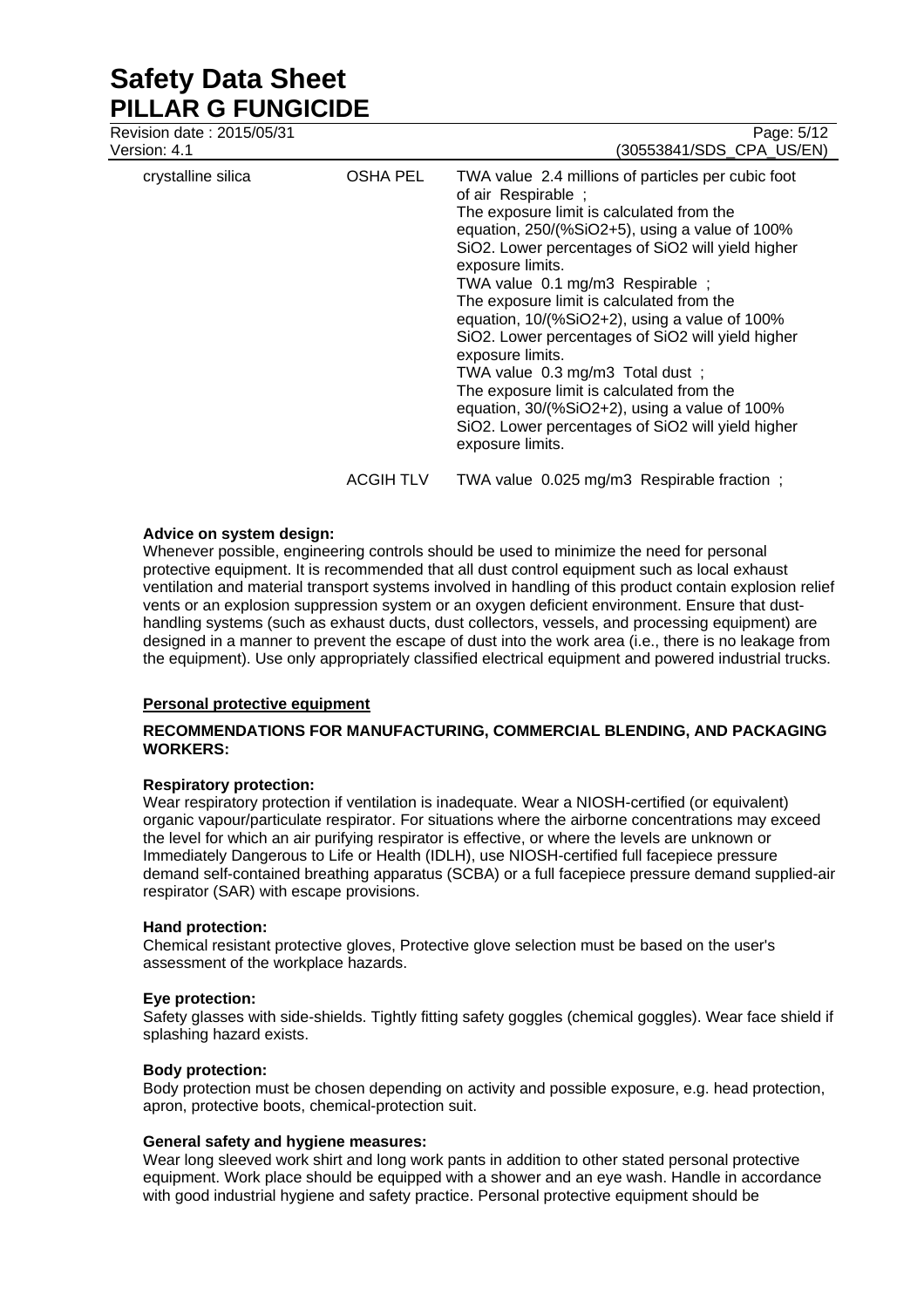Revision date : 2015/05/31 Page: 5/12

| Version: 4.1       |                  | (30553841/SDS CPA US/EN)                                                                                                                                                                                                                                                                                                                                                                                                                                                                                                                                                                                                                                                 |
|--------------------|------------------|--------------------------------------------------------------------------------------------------------------------------------------------------------------------------------------------------------------------------------------------------------------------------------------------------------------------------------------------------------------------------------------------------------------------------------------------------------------------------------------------------------------------------------------------------------------------------------------------------------------------------------------------------------------------------|
| crystalline silica | <b>OSHA PEL</b>  | TWA value 2.4 millions of particles per cubic foot<br>of air Respirable;<br>The exposure limit is calculated from the<br>equation, $250/(%SiO2+5)$ , using a value of 100%<br>SiO2. Lower percentages of SiO2 will yield higher<br>exposure limits.<br>TWA value 0.1 mg/m3 Respirable ;<br>The exposure limit is calculated from the<br>equation, 10/(%SiO2+2), using a value of 100%<br>SiO2. Lower percentages of SiO2 will yield higher<br>exposure limits.<br>TWA value 0.3 mg/m3 Total dust;<br>The exposure limit is calculated from the<br>equation, 30/(%SiO2+2), using a value of 100%<br>SiO2. Lower percentages of SiO2 will yield higher<br>exposure limits. |
|                    | <b>ACGIH TLV</b> | TWA value 0.025 mg/m3 Respirable fraction;                                                                                                                                                                                                                                                                                                                                                                                                                                                                                                                                                                                                                               |

## **Advice on system design:**

Whenever possible, engineering controls should be used to minimize the need for personal protective equipment. It is recommended that all dust control equipment such as local exhaust ventilation and material transport systems involved in handling of this product contain explosion relief vents or an explosion suppression system or an oxygen deficient environment. Ensure that dusthandling systems (such as exhaust ducts, dust collectors, vessels, and processing equipment) are designed in a manner to prevent the escape of dust into the work area (i.e., there is no leakage from the equipment). Use only appropriately classified electrical equipment and powered industrial trucks.

## **Personal protective equipment**

## **RECOMMENDATIONS FOR MANUFACTURING, COMMERCIAL BLENDING, AND PACKAGING WORKERS:**

## **Respiratory protection:**

Wear respiratory protection if ventilation is inadequate. Wear a NIOSH-certified (or equivalent) organic vapour/particulate respirator. For situations where the airborne concentrations may exceed the level for which an air purifying respirator is effective, or where the levels are unknown or Immediately Dangerous to Life or Health (IDLH), use NIOSH-certified full facepiece pressure demand self-contained breathing apparatus (SCBA) or a full facepiece pressure demand supplied-air respirator (SAR) with escape provisions.

## **Hand protection:**

Chemical resistant protective gloves, Protective glove selection must be based on the user's assessment of the workplace hazards.

## **Eye protection:**

Safety glasses with side-shields. Tightly fitting safety goggles (chemical goggles). Wear face shield if splashing hazard exists.

## **Body protection:**

Body protection must be chosen depending on activity and possible exposure, e.g. head protection, apron, protective boots, chemical-protection suit.

## **General safety and hygiene measures:**

Wear long sleeved work shirt and long work pants in addition to other stated personal protective equipment. Work place should be equipped with a shower and an eye wash. Handle in accordance with good industrial hygiene and safety practice. Personal protective equipment should be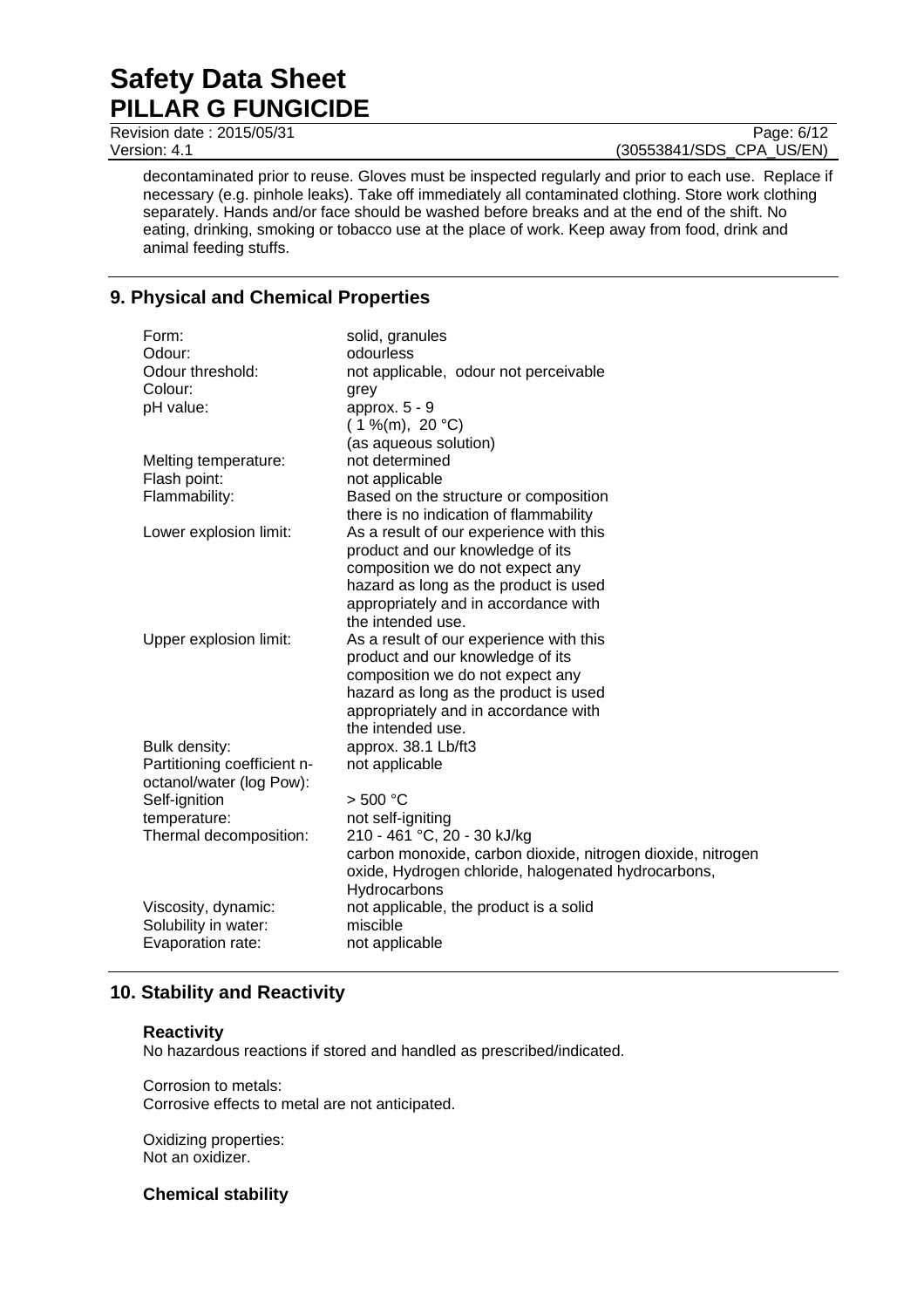Revision date : 2015/05/31 Page: 6/12

Version: 4.1 (30553841/SDS\_CPA\_US/EN)

decontaminated prior to reuse. Gloves must be inspected regularly and prior to each use. Replace if necessary (e.g. pinhole leaks). Take off immediately all contaminated clothing. Store work clothing separately. Hands and/or face should be washed before breaks and at the end of the shift. No eating, drinking, smoking or tobacco use at the place of work. Keep away from food, drink and animal feeding stuffs.

# **9. Physical and Chemical Properties**

| Form:                       | solid, granules                                             |
|-----------------------------|-------------------------------------------------------------|
| Odour:                      | odourless                                                   |
| Odour threshold:            | not applicable, odour not perceivable                       |
| Colour:                     | grey                                                        |
| pH value:                   | approx. 5 - 9                                               |
|                             | $(1\%$ (m), 20 °C)                                          |
|                             | (as aqueous solution)                                       |
| Melting temperature:        | not determined                                              |
| Flash point:                | not applicable                                              |
| Flammability:               | Based on the structure or composition                       |
|                             | there is no indication of flammability                      |
| Lower explosion limit:      | As a result of our experience with this                     |
|                             | product and our knowledge of its                            |
|                             | composition we do not expect any                            |
|                             | hazard as long as the product is used                       |
|                             | appropriately and in accordance with                        |
|                             | the intended use.                                           |
| Upper explosion limit:      | As a result of our experience with this                     |
|                             | product and our knowledge of its                            |
|                             | composition we do not expect any                            |
|                             | hazard as long as the product is used                       |
|                             | appropriately and in accordance with                        |
|                             | the intended use.                                           |
| Bulk density:               | approx. 38.1 Lb/ft3                                         |
| Partitioning coefficient n- | not applicable                                              |
| octanol/water (log Pow):    |                                                             |
| Self-ignition               | > 500 °C                                                    |
| temperature:                | not self-igniting                                           |
| Thermal decomposition:      | 210 - 461 °C, 20 - 30 kJ/kg                                 |
|                             | carbon monoxide, carbon dioxide, nitrogen dioxide, nitrogen |
|                             | oxide, Hydrogen chloride, halogenated hydrocarbons,         |
|                             | Hydrocarbons                                                |
| Viscosity, dynamic:         | not applicable, the product is a solid                      |
| Solubility in water:        | miscible                                                    |
| Evaporation rate:           | not applicable                                              |

# **10. Stability and Reactivity**

## **Reactivity**

No hazardous reactions if stored and handled as prescribed/indicated.

Corrosion to metals: Corrosive effects to metal are not anticipated.

Oxidizing properties: Not an oxidizer.

**Chemical stability**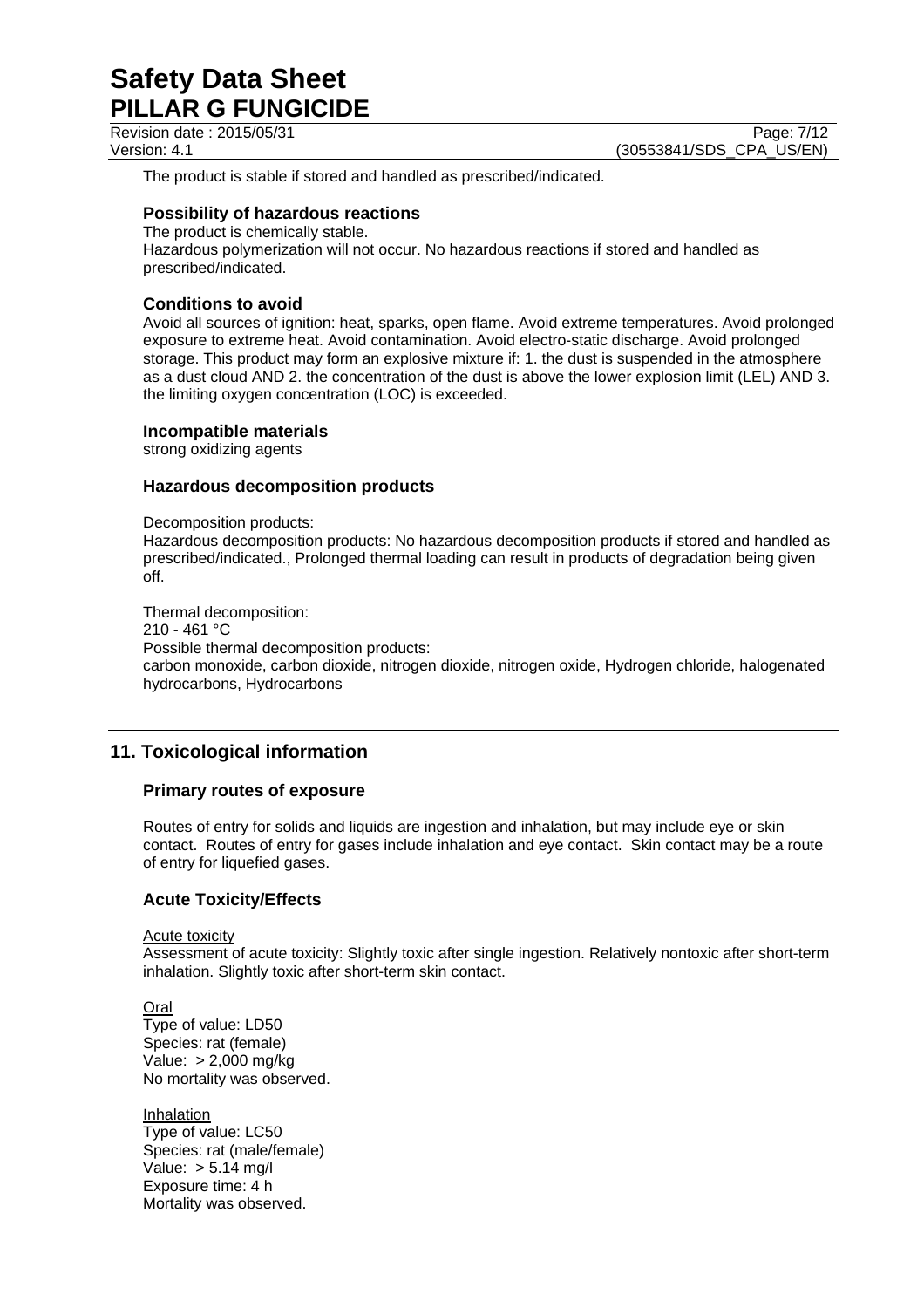Revision date : 2015/05/31 Page: 7/12

Version: 4.1 **(30553841/SDS\_CPA\_US/EN)** 

The product is stable if stored and handled as prescribed/indicated.

## **Possibility of hazardous reactions**

The product is chemically stable. Hazardous polymerization will not occur. No hazardous reactions if stored and handled as prescribed/indicated.

## **Conditions to avoid**

Avoid all sources of ignition: heat, sparks, open flame. Avoid extreme temperatures. Avoid prolonged exposure to extreme heat. Avoid contamination. Avoid electro-static discharge. Avoid prolonged storage. This product may form an explosive mixture if: 1. the dust is suspended in the atmosphere as a dust cloud AND 2. the concentration of the dust is above the lower explosion limit (LEL) AND 3. the limiting oxygen concentration (LOC) is exceeded.

## **Incompatible materials**

strong oxidizing agents

## **Hazardous decomposition products**

Decomposition products:

Hazardous decomposition products: No hazardous decomposition products if stored and handled as prescribed/indicated., Prolonged thermal loading can result in products of degradation being given off.

Thermal decomposition: 210 - 461 °C Possible thermal decomposition products: carbon monoxide, carbon dioxide, nitrogen dioxide, nitrogen oxide, Hydrogen chloride, halogenated hydrocarbons, Hydrocarbons

# **11. Toxicological information**

## **Primary routes of exposure**

Routes of entry for solids and liquids are ingestion and inhalation, but may include eye or skin contact. Routes of entry for gases include inhalation and eye contact. Skin contact may be a route of entry for liquefied gases.

## **Acute Toxicity/Effects**

Acute toxicity

Assessment of acute toxicity: Slightly toxic after single ingestion. Relatively nontoxic after short-term inhalation. Slightly toxic after short-term skin contact.

Oral Type of value: LD50 Species: rat (female) Value: > 2,000 mg/kg No mortality was observed.

Inhalation Type of value: LC50 Species: rat (male/female) Value: > 5.14 mg/l Exposure time: 4 h Mortality was observed.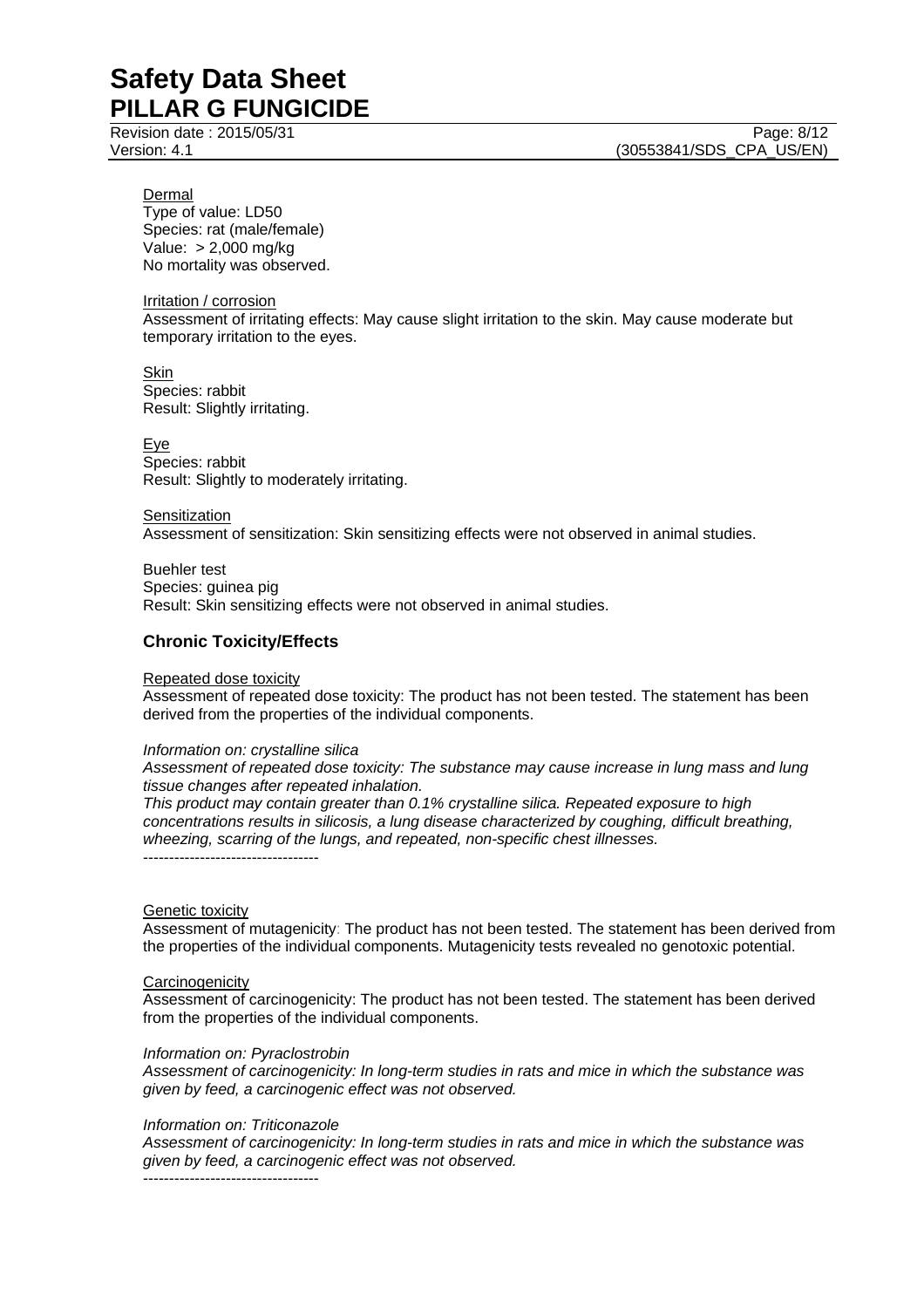Revision date : 2015/05/31 Page: 8/12

Dermal

Type of value: LD50 Species: rat (male/female) Value: > 2,000 mg/kg No mortality was observed.

Irritation / corrosion

Assessment of irritating effects: May cause slight irritation to the skin. May cause moderate but temporary irritation to the eyes.

**Skin** Species: rabbit Result: Slightly irritating.

Eye Species: rabbit Result: Slightly to moderately irritating.

**Sensitization** Assessment of sensitization: Skin sensitizing effects were not observed in animal studies.

Buehler test Species: guinea pig Result: Skin sensitizing effects were not observed in animal studies.

## **Chronic Toxicity/Effects**

## Repeated dose toxicity

Assessment of repeated dose toxicity: The product has not been tested. The statement has been derived from the properties of the individual components.

## *Information on: crystalline silica*

*Assessment of repeated dose toxicity: The substance may cause increase in lung mass and lung tissue changes after repeated inhalation.* 

*This product may contain greater than 0.1% crystalline silica. Repeated exposure to high concentrations results in silicosis, a lung disease characterized by coughing, difficult breathing, wheezing, scarring of the lungs, and repeated, non-specific chest illnesses.*  ----------------------------------

## Genetic toxicity

Assessment of mutagenicity: The product has not been tested. The statement has been derived from the properties of the individual components. Mutagenicity tests revealed no genotoxic potential.

## **Carcinogenicity**

Assessment of carcinogenicity: The product has not been tested. The statement has been derived from the properties of the individual components.

#### *Information on: Pyraclostrobin*

*Assessment of carcinogenicity: In long-term studies in rats and mice in which the substance was given by feed, a carcinogenic effect was not observed.* 

#### *Information on: Triticonazole*

*Assessment of carcinogenicity: In long-term studies in rats and mice in which the substance was given by feed, a carcinogenic effect was not observed.* 

----------------------------------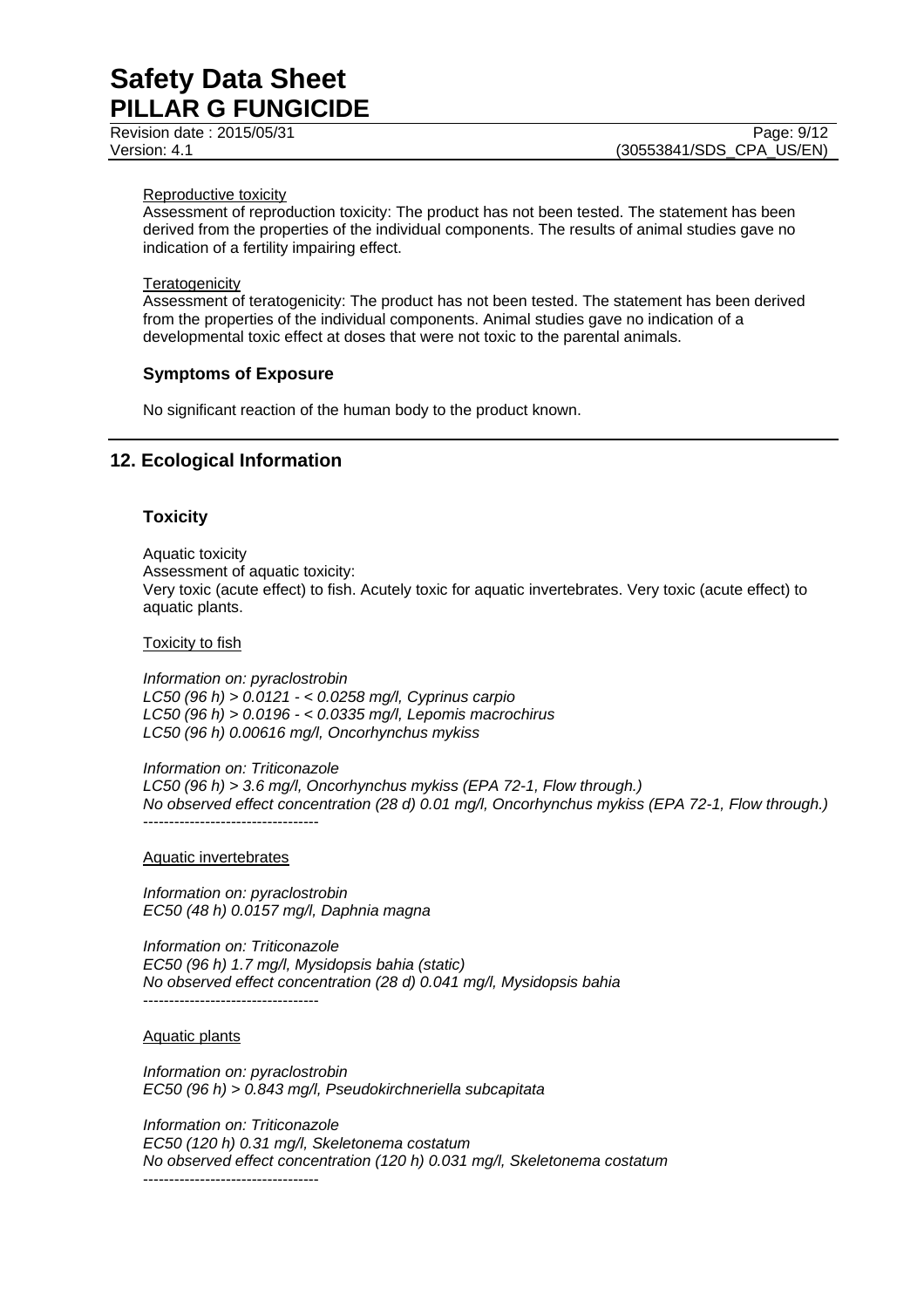Revision date : 2015/05/31 Page: 9/12

#### Reproductive toxicity

Assessment of reproduction toxicity: The product has not been tested. The statement has been derived from the properties of the individual components. The results of animal studies gave no indication of a fertility impairing effect.

#### **Teratogenicity**

Assessment of teratogenicity: The product has not been tested. The statement has been derived from the properties of the individual components. Animal studies gave no indication of a developmental toxic effect at doses that were not toxic to the parental animals.

## **Symptoms of Exposure**

No significant reaction of the human body to the product known.

## **12. Ecological Information**

## **Toxicity**

Aquatic toxicity Assessment of aquatic toxicity: Very toxic (acute effect) to fish. Acutely toxic for aquatic invertebrates. Very toxic (acute effect) to aquatic plants.

Toxicity to fish

*Information on: pyraclostrobin LC50 (96 h) > 0.0121 - < 0.0258 mg/l, Cyprinus carpio LC50 (96 h) > 0.0196 - < 0.0335 mg/l, Lepomis macrochirus LC50 (96 h) 0.00616 mg/l, Oncorhynchus mykiss* 

*Information on: Triticonazole LC50 (96 h) > 3.6 mg/l, Oncorhynchus mykiss (EPA 72-1, Flow through.) No observed effect concentration (28 d) 0.01 mg/l, Oncorhynchus mykiss (EPA 72-1, Flow through.)*  ----------------------------------

Aquatic invertebrates

*Information on: pyraclostrobin EC50 (48 h) 0.0157 mg/l, Daphnia magna* 

*Information on: Triticonazole EC50 (96 h) 1.7 mg/l, Mysidopsis bahia (static) No observed effect concentration (28 d) 0.041 mg/l, Mysidopsis bahia*  ----------------------------------

Aquatic plants

*Information on: pyraclostrobin EC50 (96 h) > 0.843 mg/l, Pseudokirchneriella subcapitata* 

*Information on: Triticonazole EC50 (120 h) 0.31 mg/l, Skeletonema costatum No observed effect concentration (120 h) 0.031 mg/l, Skeletonema costatum*  ----------------------------------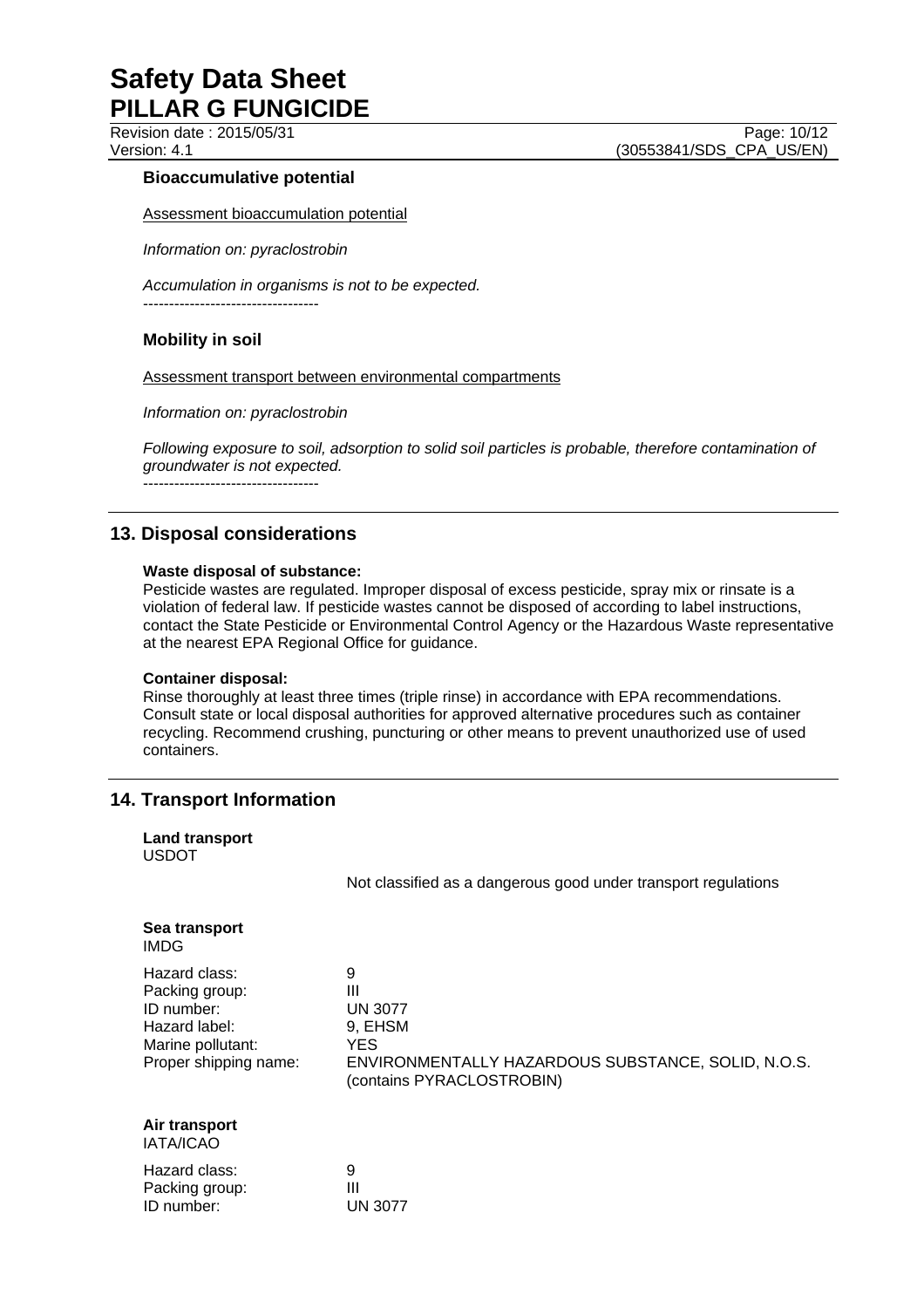Revision date : 2015/05/31 Page: 10/12

Version: 4.1 **(30553841/SDS\_CPA\_US/EN)** 

## **Bioaccumulative potential**

Assessment bioaccumulation potential

*Information on: pyraclostrobin* 

*Accumulation in organisms is not to be expected.* 

----------------------------------

## **Mobility in soil**

Assessment transport between environmental compartments

*Information on: pyraclostrobin* 

*Following exposure to soil, adsorption to solid soil particles is probable, therefore contamination of groundwater is not expected.*

----------------------------------

# **13. Disposal considerations**

## **Waste disposal of substance:**

Pesticide wastes are regulated. Improper disposal of excess pesticide, spray mix or rinsate is a violation of federal law. If pesticide wastes cannot be disposed of according to label instructions, contact the State Pesticide or Environmental Control Agency or the Hazardous Waste representative at the nearest EPA Regional Office for guidance.

## **Container disposal:**

Rinse thoroughly at least three times (triple rinse) in accordance with EPA recommendations. Consult state or local disposal authorities for approved alternative procedures such as container recycling. Recommend crushing, puncturing or other means to prevent unauthorized use of used containers.

# **14. Transport Information**

| <b>Land transport</b><br><b>USDOT</b>                                                                        |                                                                                                                                |
|--------------------------------------------------------------------------------------------------------------|--------------------------------------------------------------------------------------------------------------------------------|
|                                                                                                              | Not classified as a dangerous good under transport regulations                                                                 |
| Sea transport<br>IMDG                                                                                        |                                                                                                                                |
| Hazard class:<br>Packing group:<br>ID number:<br>Hazard label:<br>Marine pollutant:<br>Proper shipping name: | 9<br>Ш<br><b>UN 3077</b><br>9, EHSM<br>YES.<br>ENVIRONMENTALLY HAZARDOUS SUBSTANCE, SOLID, N.O.S.<br>(contains PYRACLOSTROBIN) |
| Air transport<br><b>IATA/ICAO</b>                                                                            |                                                                                                                                |
| Hazard class:<br>Packing group:<br>ID number:                                                                | 9<br>Ш<br>UN 3077                                                                                                              |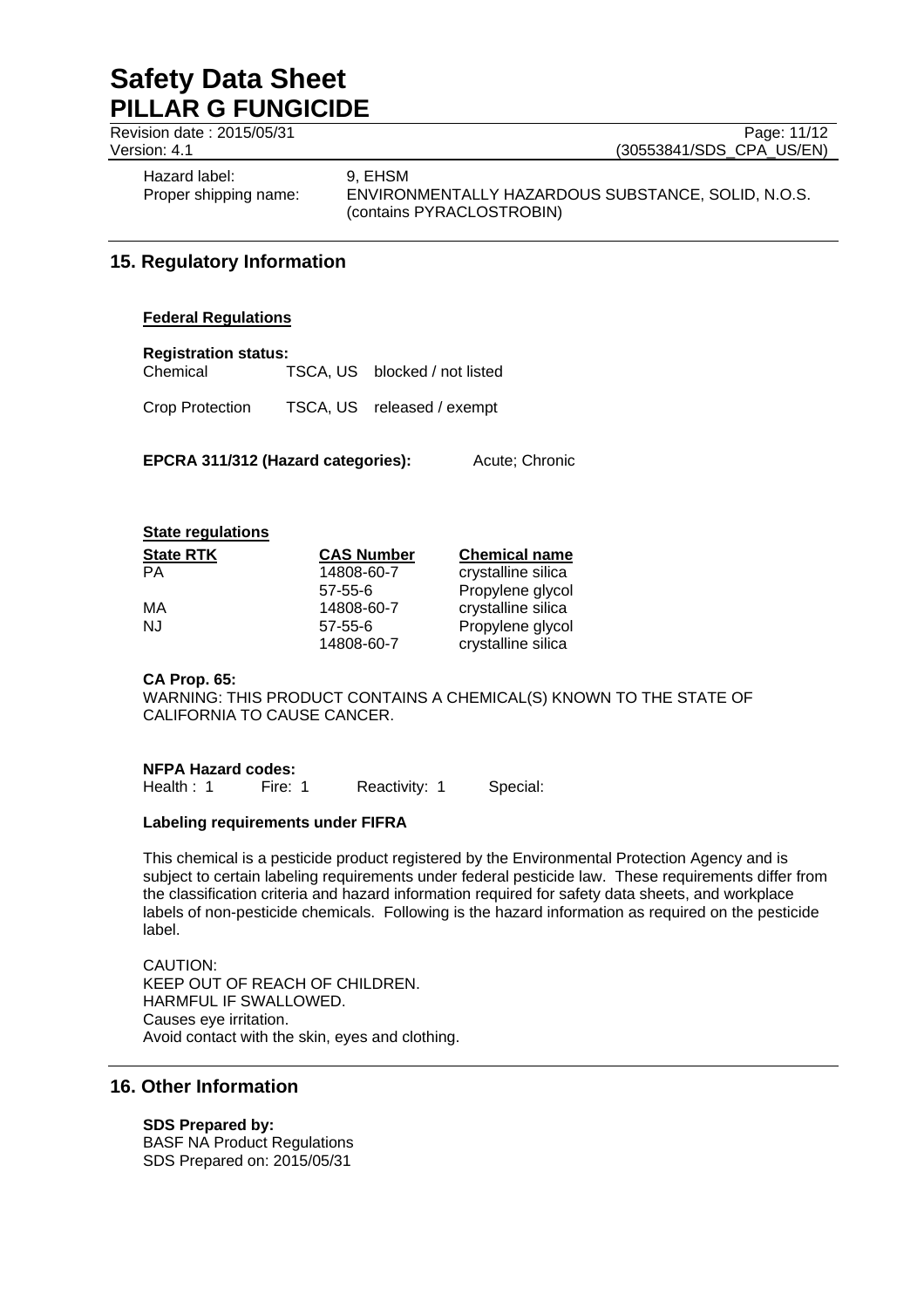Revision date : 2015/05/31 Page: 11/12<br>Version: 4.1 (30553841/SDS\_CPA\_US/EN)

(30553841/SDS\_CPA\_US/EN)

Hazard label: 9, EHSM

Proper shipping name: ENVIRONMENTALLY HAZARDOUS SUBSTANCE, SOLID, N.O.S. (contains PYRACLOSTROBIN)

# **15. Regulatory Information**

## **Federal Regulations**

## **Registration status:**

Chemical TSCA, US blocked / not listed

Crop Protection TSCA, US released / exempt

**EPCRA 311/312 (Hazard categories):** Acute; Chronic

## **State regulations**

| <b>State RTK</b> | <b>CAS Number</b> | <b>Chemical name</b> |
|------------------|-------------------|----------------------|
| РA               | 14808-60-7        | crystalline silica   |
|                  | $57 - 55 - 6$     | Propylene glycol     |
| МA               | 14808-60-7        | crystalline silica   |
| NJ               | $57 - 55 - 6$     | Propylene glycol     |
|                  | 14808-60-7        | crystalline silica   |

## **CA Prop. 65:**

WARNING: THIS PRODUCT CONTAINS A CHEMICAL(S) KNOWN TO THE STATE OF CALIFORNIA TO CAUSE CANCER.

## **NFPA Hazard codes:**

Health : 1 Fire: 1 Reactivity: 1 Special:

## **Labeling requirements under FIFRA**

This chemical is a pesticide product registered by the Environmental Protection Agency and is subject to certain labeling requirements under federal pesticide law. These requirements differ from the classification criteria and hazard information required for safety data sheets, and workplace labels of non-pesticide chemicals. Following is the hazard information as required on the pesticide label.

## CAUTION: KEEP OUT OF REACH OF CHILDREN. HARMFUL IF SWALLOWED. Causes eye irritation. Avoid contact with the skin, eyes and clothing.

# **16. Other Information**

## **SDS Prepared by:**

BASF NA Product Regulations SDS Prepared on: 2015/05/31